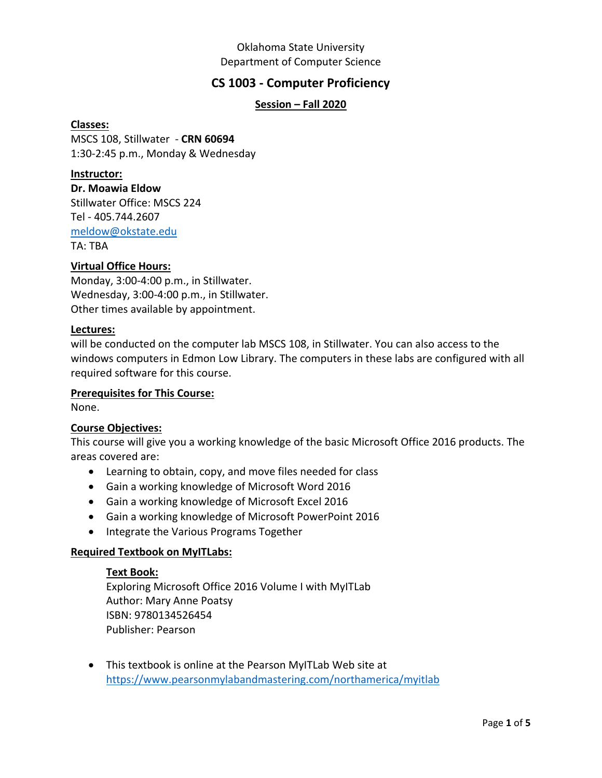## Oklahoma State University Department of Computer Science

# **CS 1003 - Computer Proficiency**

## **Session – Fall 2020**

#### **Classes:**

MSCS 108, Stillwater - **CRN 60694** 1:30-2:45 p.m., Monday & Wednesday

#### **Instructor:**

**Dr. Moawia Eldow** Stillwater Office: MSCS 224 Tel - 405.744.2607 [meldow@okstate.edu](mailto:meldow@okstate.edu) TA: TBA

### **Virtual Office Hours:**

Monday, 3:00-4:00 p.m., in Stillwater. Wednesday, 3:00-4:00 p.m., in Stillwater. Other times available by appointment.

### **Lectures:**

will be conducted on the computer lab MSCS 108, in Stillwater. You can also access to the windows computers in Edmon Low Library. The computers in these labs are configured with all required software for this course.

### **Prerequisites for This Course:**

None.

### **Course Objectives:**

This course will give you a working knowledge of the basic Microsoft Office 2016 products. The areas covered are:

- Learning to obtain, copy, and move files needed for class
- Gain a working knowledge of Microsoft Word 2016
- Gain a working knowledge of Microsoft Excel 2016
- Gain a working knowledge of Microsoft PowerPoint 2016
- Integrate the Various Programs Together

### **Required Textbook on MyITLabs:**

#### **Text Book:**

Exploring Microsoft Office 2016 Volume I with MyITLab Author: Mary Anne Poatsy ISBN: 9780134526454 Publisher: Pearson

• This textbook is online at the Pearson MyITLab Web site at <https://www.pearsonmylabandmastering.com/northamerica/myitlab>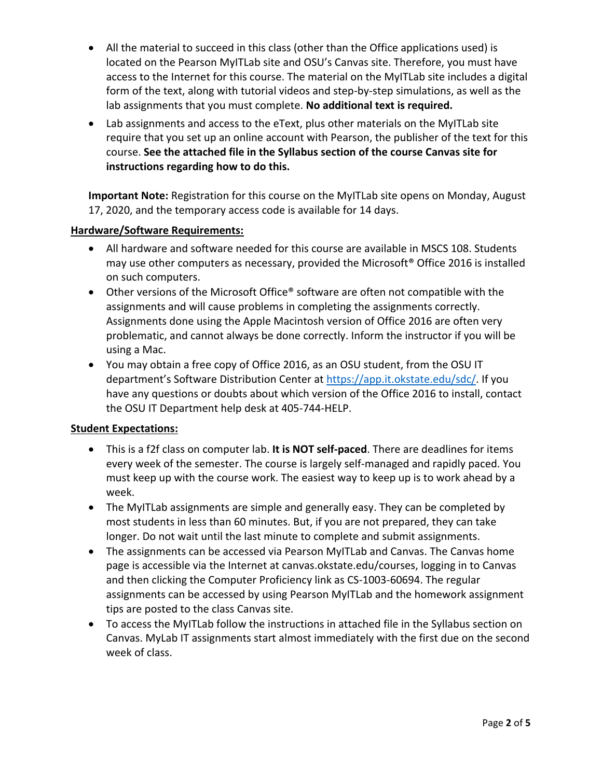- All the material to succeed in this class (other than the Office applications used) is located on the Pearson MyITLab site and OSU's Canvas site. Therefore, you must have access to the Internet for this course. The material on the MyITLab site includes a digital form of the text, along with tutorial videos and step-by-step simulations, as well as the lab assignments that you must complete. **No additional text is required.**
- Lab assignments and access to the eText, plus other materials on the MyITLab site require that you set up an online account with Pearson, the publisher of the text for this course. **See the attached file in the Syllabus section of the course Canvas site for instructions regarding how to do this.**

**Important Note:** Registration for this course on the MyITLab site opens on Monday, August 17, 2020, and the temporary access code is available for 14 days.

### **Hardware/Software Requirements:**

- All hardware and software needed for this course are available in MSCS 108. Students may use other computers as necessary, provided the Microsoft® Office 2016 is installed on such computers.
- Other versions of the Microsoft Office® software are often not compatible with the assignments and will cause problems in completing the assignments correctly. Assignments done using the Apple Macintosh version of Office 2016 are often very problematic, and cannot always be done correctly. Inform the instructor if you will be using a Mac.
- You may obtain a free copy of Office 2016, as an OSU student, from the OSU IT department's Software Distribution Center at [https://app.it.okstate.edu/sdc/.](https://app.it.okstate.edu/sdc/) If you have any questions or doubts about which version of the Office 2016 to install, contact the OSU IT Department help desk at 405-744-HELP.

### **Student Expectations:**

- This is a f2f class on computer lab. **It is NOT self-paced**. There are deadlines for items every week of the semester. The course is largely self-managed and rapidly paced. You must keep up with the course work. The easiest way to keep up is to work ahead by a week.
- The MyITLab assignments are simple and generally easy. They can be completed by most students in less than 60 minutes. But, if you are not prepared, they can take longer. Do not wait until the last minute to complete and submit assignments.
- The assignments can be accessed via Pearson MyITLab and Canvas. The Canvas home page is accessible via the Internet at canvas.okstate.edu/courses, logging in to Canvas and then clicking the Computer Proficiency link as CS-1003-60694. The regular assignments can be accessed by using Pearson MyITLab and the homework assignment tips are posted to the class Canvas site.
- To access the MyITLab follow the instructions in attached file in the Syllabus section on Canvas. MyLab IT assignments start almost immediately with the first due on the second week of class.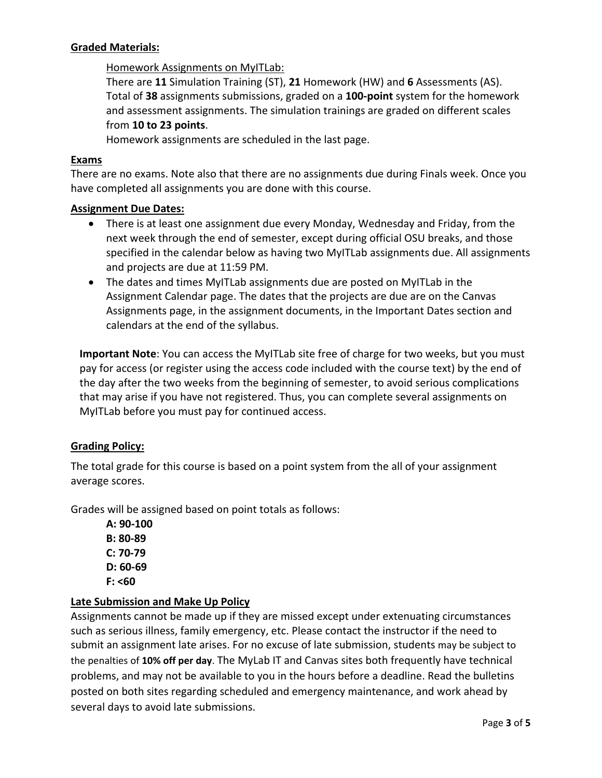### **Graded Materials:**

### Homework Assignments on MyITLab:

There are **11** Simulation Training (ST), **21** Homework (HW) and **6** Assessments (AS). Total of **38** assignments submissions, graded on a **100-point** system for the homework and assessment assignments. The simulation trainings are graded on different scales from **10 to 23 points**.

Homework assignments are scheduled in the last page.

### **Exams**

There are no exams. Note also that there are no assignments due during Finals week. Once you have completed all assignments you are done with this course.

#### **Assignment Due Dates:**

- There is at least one assignment due every Monday, Wednesday and Friday, from the next week through the end of semester, except during official OSU breaks, and those specified in the calendar below as having two MyITLab assignments due. All assignments and projects are due at 11:59 PM.
- The dates and times MyITLab assignments due are posted on MyITLab in the Assignment Calendar page. The dates that the projects are due are on the Canvas Assignments page, in the assignment documents, in the Important Dates section and calendars at the end of the syllabus.

**Important Note**: You can access the MyITLab site free of charge for two weeks, but you must pay for access (or register using the access code included with the course text) by the end of the day after the two weeks from the beginning of semester, to avoid serious complications that may arise if you have not registered. Thus, you can complete several assignments on MyITLab before you must pay for continued access.

### **Grading Policy:**

The total grade for this course is based on a point system from the all of your assignment average scores.

Grades will be assigned based on point totals as follows:

**A: 90-100 B: 80-89 C: 70-79 D: 60-69 F: <60**

### **Late Submission and Make Up Policy**

Assignments cannot be made up if they are missed except under extenuating circumstances such as serious illness, family emergency, etc. Please contact the instructor if the need to submit an assignment late arises. For no excuse of late submission, students may be subject to the penalties of **10% off per day**. The MyLab IT and Canvas sites both frequently have technical problems, and may not be available to you in the hours before a deadline. Read the bulletins posted on both sites regarding scheduled and emergency maintenance, and work ahead by several days to avoid late submissions.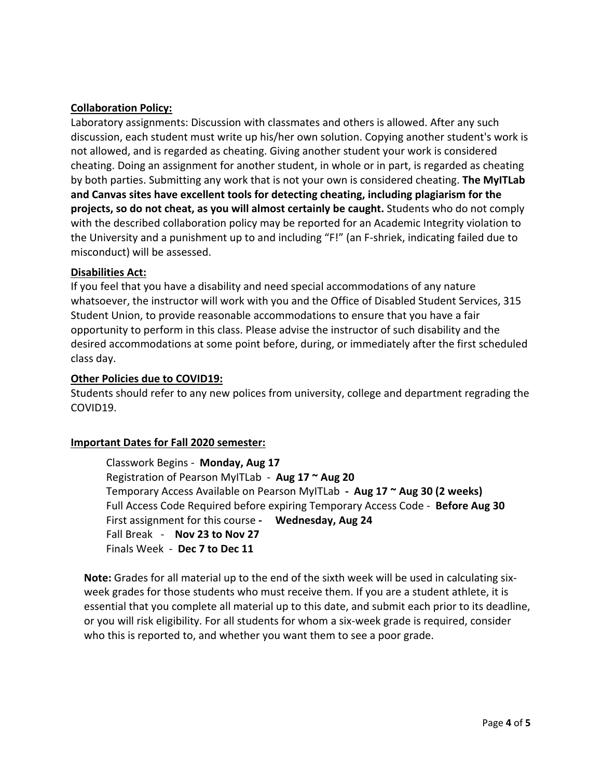## **Collaboration Policy:**

Laboratory assignments: Discussion with classmates and others is allowed. After any such discussion, each student must write up his/her own solution. Copying another student's work is not allowed, and is regarded as cheating. Giving another student your work is considered cheating. Doing an assignment for another student, in whole or in part, is regarded as cheating by both parties. Submitting any work that is not your own is considered cheating. **The MyITLab and Canvas sites have excellent tools for detecting cheating, including plagiarism for the projects, so do not cheat, as you will almost certainly be caught.** Students who do not comply with the described collaboration policy may be reported for an Academic Integrity violation to the University and a punishment up to and including "F!" (an F-shriek, indicating failed due to misconduct) will be assessed.

### **Disabilities Act:**

If you feel that you have a disability and need special accommodations of any nature whatsoever, the instructor will work with you and the Office of Disabled Student Services, 315 Student Union, to provide reasonable accommodations to ensure that you have a fair opportunity to perform in this class. Please advise the instructor of such disability and the desired accommodations at some point before, during, or immediately after the first scheduled class day.

### **Other Policies due to COVID19:**

Students should refer to any new polices from university, college and department regrading the COVID19.

### **Important Dates for Fall 2020 semester:**

Classwork Begins - **Monday, Aug 17** Registration of Pearson MyITLab - **Aug 17 ~ Aug 20** Temporary Access Available on Pearson MyITLab **- Aug 17 ~ Aug 30 (2 weeks)** Full Access Code Required before expiring Temporary Access Code - **Before Aug 30** First assignment for this course **- Wednesday, Aug 24** Fall Break - **Nov 23 to Nov 27** Finals Week - **Dec 7 to Dec 11**

**Note:** Grades for all material up to the end of the sixth week will be used in calculating sixweek grades for those students who must receive them. If you are a student athlete, it is essential that you complete all material up to this date, and submit each prior to its deadline, or you will risk eligibility. For all students for whom a six-week grade is required, consider who this is reported to, and whether you want them to see a poor grade.